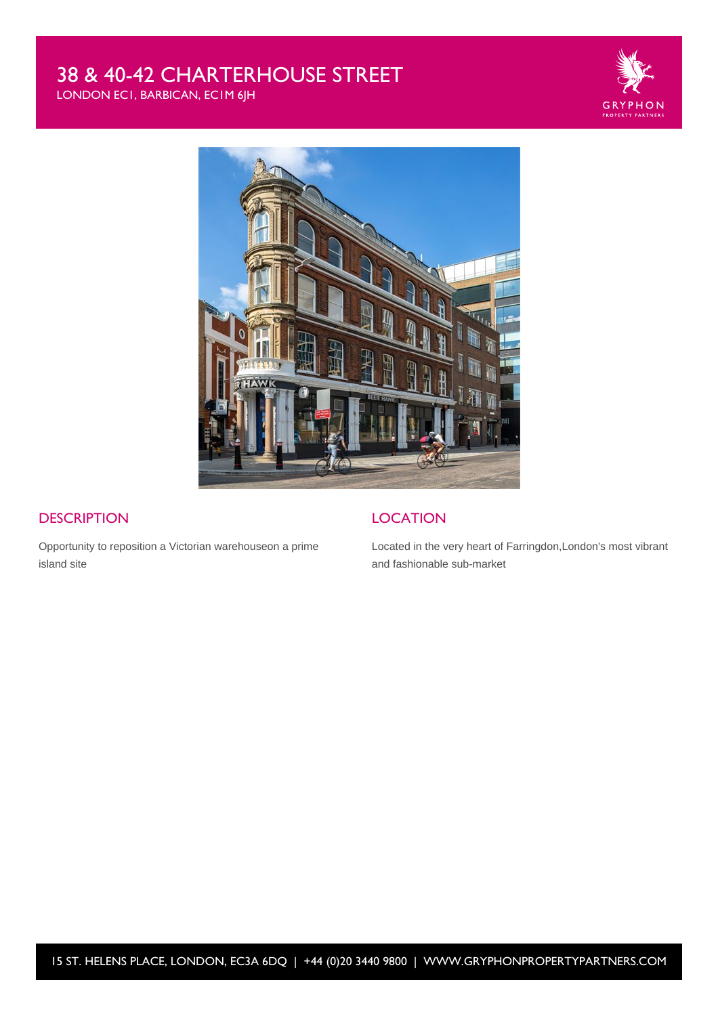# 38 & 40-42 CHARTERHOUSE STREET

LONDON EC1, BARBICAN, EC1M 6JH





## **DESCRIPTION**

Opportunity to reposition a Victorian warehouseon a prime island site

## **LOCATION**

Located in the very heart of Farringdon,London's most vibrant and fashionable sub-market